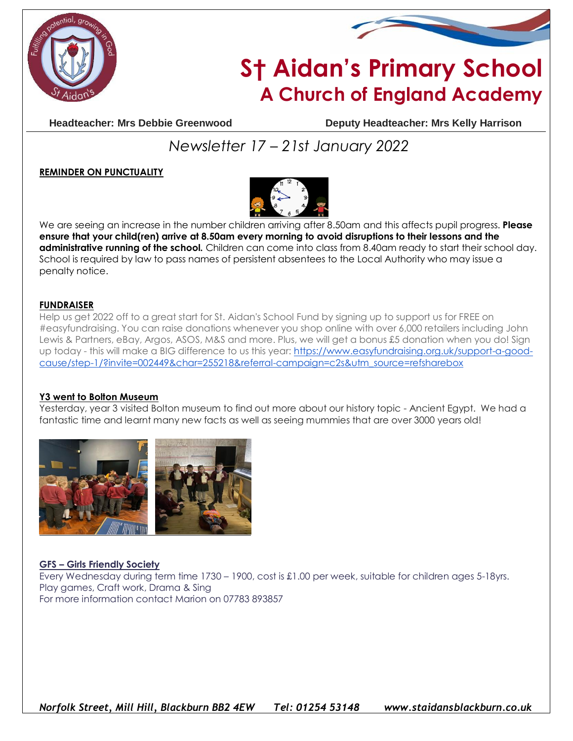



# **S† Aidan's Primary School A Church of England Academy**

**Headteacher: Mrs Debbie Greenwood Deputy Headteacher: Mrs Kelly Harrison**

# *Newsletter 17 – 21st January 2022*

# **REMINDER ON PUNCTUALITY**



We are seeing an increase in the number children arriving after 8.50am and this affects pupil progress. **Please ensure that your child(ren) arrive at 8.50am every morning to avoid disruptions to their lessons and the administrative running of the school.** Children can come into class from 8.40am ready to start their school day. School is required by law to pass names of persistent absentees to the Local Authority who may issue a penalty notice.

#### **FUNDRAISER**

Help us get 2022 off to a great start for St. Aidan's School Fund by signing up to support us for FREE on #easyfundraising. You can raise donations whenever you shop online with over 6,000 retailers including John Lewis & Partners, eBay, Argos, ASOS, M&S and more. Plus, we will get a bonus £5 donation when you do! Sign up today - this will make a BIG difference to us this year: [https://www.easyfundraising.org.uk/support-a-good](https://www.easyfundraising.org.uk/support-a-good-cause/step-1/?invite=002449&char=255218&referral-campaign=c2s&utm_source=refsharebox)[cause/step-1/?invite=002449&char=255218&referral-campaign=c2s&utm\\_source=refsharebox](https://www.easyfundraising.org.uk/support-a-good-cause/step-1/?invite=002449&char=255218&referral-campaign=c2s&utm_source=refsharebox)

#### **Y3 went to Bolton Museum**

Yesterday, year 3 visited Bolton museum to find out more about our history topic - Ancient Egypt. We had a fantastic time and learnt many new facts as well as seeing mummies that are over 3000 years old!



## **GFS – Girls Friendly Society**

Every Wednesday during term time 1730 – 1900, cost is £1.00 per week, suitable for children ages 5-18yrs. Play games, Craft work, Drama & Sing For more information contact Marion on 07783 893857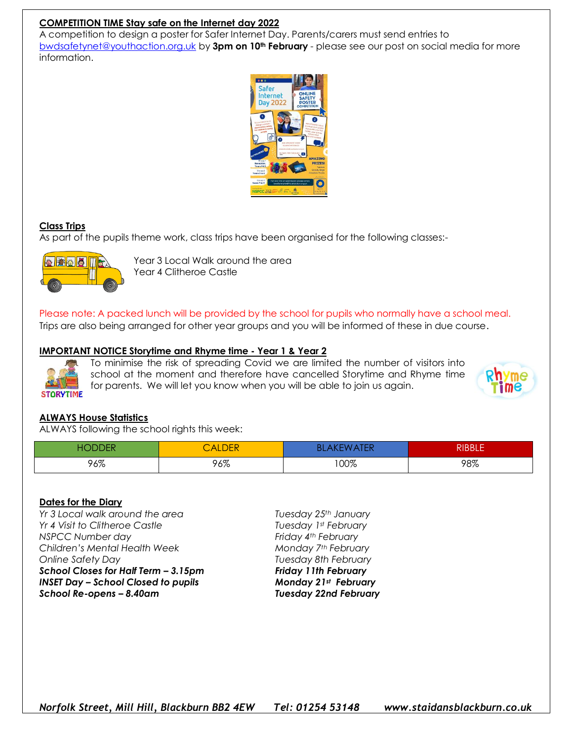## **COMPETITION TIME Stay safe on the Internet day 2022**

A competition to design a poster for Safer Internet Day. Parents/carers must send entries to [bwdsafetynet@youthaction.org.uk](mailto:bwdsafetynet@youthaction.org.uk) by **3pm on 10th February** - please see our post on social media for more information.



## **Class Trips**

As part of the pupils theme work, class trips have been organised for the following classes:-



Year 3 Local Walk around the area Year 4 Clitheroe Castle

Please note: A packed lunch will be provided by the school for pupils who normally have a school meal. Trips are also being arranged for other year groups and you will be informed of these in due course.

#### **IMPORTANT NOTICE Storytime and Rhyme time - Year 1 & Year 2**



To minimise the risk of spreading Covid we are limited the number of visitors into school at the moment and therefore have cancelled Storytime and Rhyme time for parents. We will let you know when you will be able to join us again.



## **ALWAYS House Statistics**

ALWAYS following the school rights this week:

| ∩∟<br>a la<br>- 13 | CALDER | Bl   | וחחוח<br>KIDDLE |
|--------------------|--------|------|-----------------|
| 96%                | 96%    | 100% | 98%             |

#### **Dates for the Diary**

*Yr 3 Local walk around the area Tuesday 25th January Yr 4 Visit to Clitheroe Castle Tuesday 1st February NSPCC Number day Friday 4th February Children's Mental Health Week Monday 7th February Online Safety Day Tuesday 8th February School Closes for Half Term – 3.15pm Friday 11th February INSET Day – School Closed to pupils Monday 21st February School Re-opens – 8.40am Tuesday 22nd February*

*Norfolk Street, Mill Hill, Blackburn BB2 4EW Tel: 01254 53148 www.staidansblackburn.co.uk*